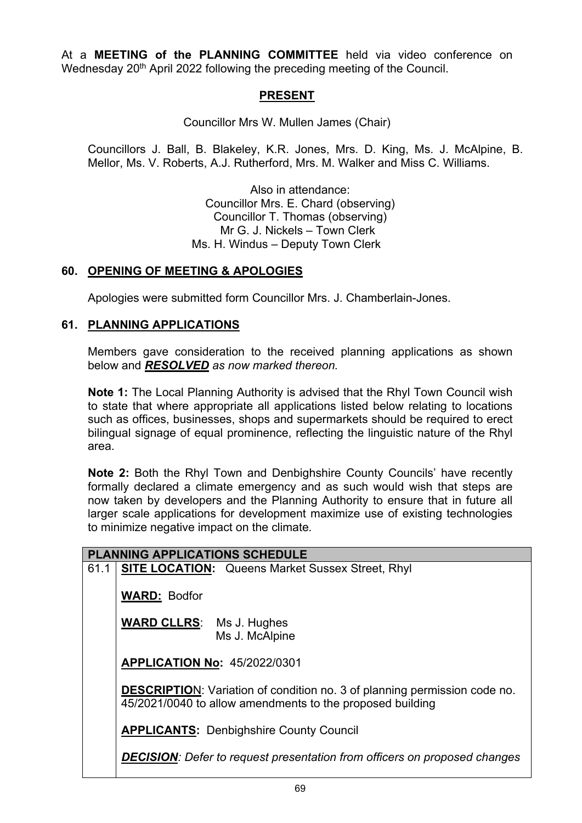At a **MEETING of the PLANNING COMMITTEE** held via video conference on Wednesday 20<sup>th</sup> April 2022 following the preceding meeting of the Council.

## **PRESENT**

Councillor Mrs W. Mullen James (Chair)

Councillors J. Ball, B. Blakeley, K.R. Jones, Mrs. D. King, Ms. J. McAlpine, B. Mellor, Ms. V. Roberts, A.J. Rutherford, Mrs. M. Walker and Miss C. Williams.

> Also in attendance: Councillor Mrs. E. Chard (observing) Councillor T. Thomas (observing) Mr G. J. Nickels – Town Clerk Ms. H. Windus – Deputy Town Clerk

## **60. OPENING OF MEETING & APOLOGIES**

Apologies were submitted form Councillor Mrs. J. Chamberlain-Jones.

## **61. PLANNING APPLICATIONS**

Members gave consideration to the received planning applications as shown below and *RESOLVED as now marked thereon.*

**Note 1:** The Local Planning Authority is advised that the Rhyl Town Council wish to state that where appropriate all applications listed below relating to locations such as offices, businesses, shops and supermarkets should be required to erect bilingual signage of equal prominence, reflecting the linguistic nature of the Rhyl area.

**Note 2:** Both the Rhyl Town and Denbighshire County Councils' have recently formally declared a climate emergency and as such would wish that steps are now taken by developers and the Planning Authority to ensure that in future all larger scale applications for development maximize use of existing technologies to minimize negative impact on the climate*.*

| <b>PLANNING APPLICATIONS SCHEDULE</b> |                                                                                                                                               |
|---------------------------------------|-----------------------------------------------------------------------------------------------------------------------------------------------|
| 61.1                                  | <b>SITE LOCATION:</b> Queens Market Sussex Street, Rhyl                                                                                       |
|                                       | <b>WARD: Bodfor</b>                                                                                                                           |
|                                       | <b>WARD CLLRS:</b> Ms J. Hughes<br>Ms J. McAlpine                                                                                             |
|                                       | <b>APPLICATION No: 45/2022/0301</b>                                                                                                           |
|                                       | <b>DESCRIPTION:</b> Variation of condition no. 3 of planning permission code no.<br>45/2021/0040 to allow amendments to the proposed building |
|                                       | <b>APPLICANTS: Denbighshire County Council</b>                                                                                                |
|                                       | <b>DECISION:</b> Defer to request presentation from officers on proposed changes                                                              |